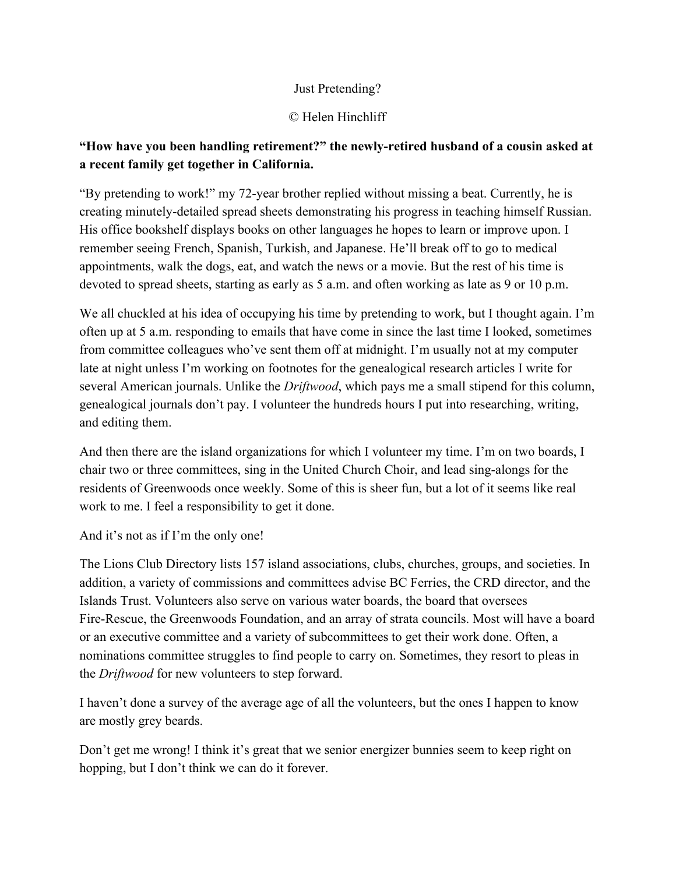## Just Pretending?

## © Helen Hinchliff

## **"How have you been handling retirement?" the newlyretired husband of a cousin asked at a recent family get together in California.**

"By pretending to work!" my 72-year brother replied without missing a beat. Currently, he is creating minutely-detailed spread sheets demonstrating his progress in teaching himself Russian. His office bookshelf displays books on other languages he hopes to learn or improve upon. I remember seeing French, Spanish, Turkish, and Japanese. He'll break off to go to medical appointments, walk the dogs, eat, and watch the news or a movie. But the rest of his time is devoted to spread sheets, starting as early as 5 a.m. and often working as late as 9 or 10 p.m.

We all chuckled at his idea of occupying his time by pretending to work, but I thought again. I'm often up at 5 a.m. responding to emails that have come in since the last time I looked, sometimes from committee colleagues who've sent them off at midnight. I'm usually not at my computer late at night unless I'm working on footnotes for the genealogical research articles I write for several American journals. Unlike the *Driftwood*, which pays me a small stipend for this column, genealogical journals don't pay. I volunteer the hundreds hours I put into researching, writing, and editing them.

And then there are the island organizations for which I volunteer my time. I'm on two boards, I chair two or three committees, sing in the United Church Choir, and lead sing-alongs for the residents of Greenwoods once weekly. Some of this is sheer fun, but a lot of it seems like real work to me. I feel a responsibility to get it done.

And it's not as if I'm the only one!

The Lions Club Directory lists 157 island associations, clubs, churches, groups, and societies. In addition, a variety of commissions and committees advise BC Ferries, the CRD director, and the Islands Trust. Volunteers also serve on various water boards, the board that oversees Fire-Rescue, the Greenwoods Foundation, and an array of strata councils. Most will have a board or an executive committee and a variety of subcommittees to get their work done. Often, a nominations committee struggles to find people to carry on. Sometimes, they resort to pleas in the *Driftwood* for new volunteers to step forward.

I haven't done a survey of the average age of all the volunteers, but the ones I happen to know are mostly grey beards.

Don't get me wrong! I think it's great that we senior energizer bunnies seem to keep right on hopping, but I don't think we can do it forever.